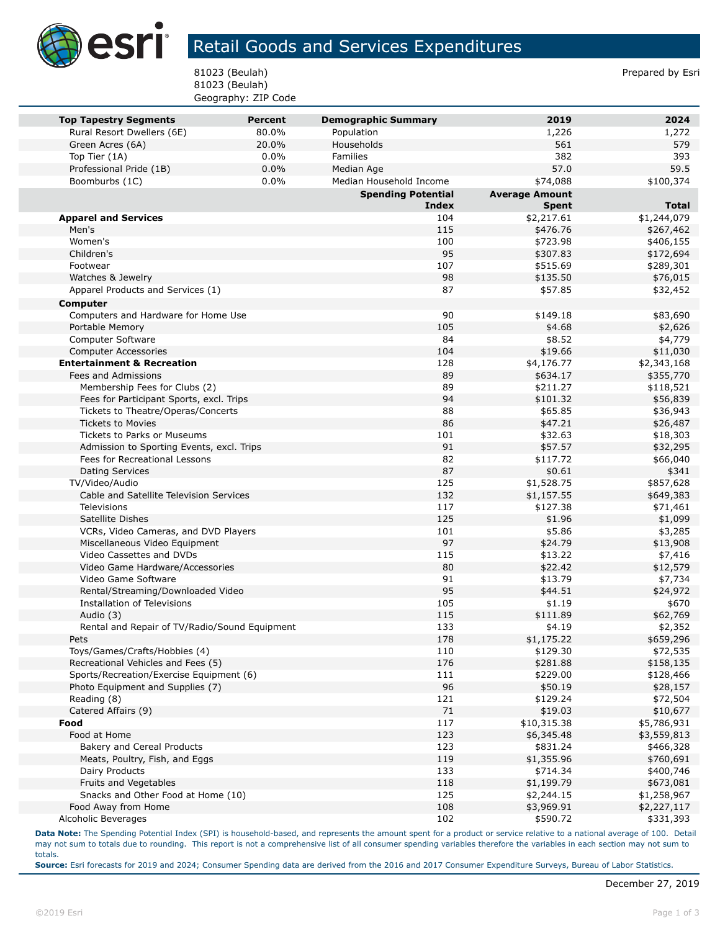

## Retail Goods and Services Expenditures

81023 (Beulah) Prepared by Esri 81023 (Beulah) Geography: ZIP Code

| <b>Top Tapestry Segments</b>                  | <b>Percent</b> | <b>Demographic Summary</b> | 2019                  | 2024         |
|-----------------------------------------------|----------------|----------------------------|-----------------------|--------------|
| Rural Resort Dwellers (6E)                    | 80.0%          | Population                 | 1,226                 | 1,272        |
| Green Acres (6A)                              | 20.0%          | Households                 | 561                   | 579          |
| Top Tier (1A)                                 | 0.0%           | Families                   | 382                   | 393          |
| Professional Pride (1B)                       | 0.0%           | Median Age                 | 57.0                  | 59.5         |
| Boomburbs (1C)                                | 0.0%           | Median Household Income    | \$74,088              | \$100,374    |
|                                               |                | <b>Spending Potential</b>  | <b>Average Amount</b> |              |
|                                               |                | <b>Index</b>               | <b>Spent</b>          | <b>Total</b> |
| <b>Apparel and Services</b>                   |                | 104                        | \$2,217.61            | \$1,244,079  |
| Men's                                         |                | 115                        | \$476.76              | \$267,462    |
| Women's                                       |                | 100                        | \$723.98              | \$406,155    |
| Children's                                    |                | 95                         | \$307.83              | \$172,694    |
| Footwear                                      |                | 107                        | \$515.69              | \$289,301    |
| Watches & Jewelry                             |                | 98                         | \$135.50              | \$76,015     |
| Apparel Products and Services (1)             |                | 87                         | \$57.85               | \$32,452     |
| <b>Computer</b>                               |                |                            |                       |              |
| Computers and Hardware for Home Use           |                | 90                         | \$149.18              | \$83,690     |
| Portable Memory                               |                | 105                        | \$4.68                | \$2,626      |
| Computer Software                             |                | 84                         | \$8.52                | \$4,779      |
| <b>Computer Accessories</b>                   |                | 104                        | \$19.66               | \$11,030     |
| <b>Entertainment &amp; Recreation</b>         |                | 128                        | \$4,176.77            | \$2,343,168  |
| Fees and Admissions                           |                | 89                         | \$634.17              | \$355,770    |
| Membership Fees for Clubs (2)                 |                | 89                         | \$211.27              | \$118,521    |
| Fees for Participant Sports, excl. Trips      |                | 94                         | \$101.32              | \$56,839     |
| Tickets to Theatre/Operas/Concerts            |                | 88                         | \$65.85               | \$36,943     |
| <b>Tickets to Movies</b>                      |                | 86                         | \$47.21               | \$26,487     |
| Tickets to Parks or Museums                   |                | 101                        | \$32.63               | \$18,303     |
| Admission to Sporting Events, excl. Trips     |                | 91                         | \$57.57               | \$32,295     |
| Fees for Recreational Lessons                 |                | 82                         | \$117.72              | \$66,040     |
| <b>Dating Services</b>                        |                | 87                         | \$0.61                | \$341        |
| TV/Video/Audio                                |                | 125                        | \$1,528.75            | \$857,628    |
| Cable and Satellite Television Services       |                | 132                        | \$1,157.55            | \$649,383    |
| Televisions                                   |                | 117                        | \$127.38              | \$71,461     |
| Satellite Dishes                              |                | 125                        | \$1.96                | \$1,099      |
| VCRs, Video Cameras, and DVD Players          |                | 101                        | \$5.86                | \$3,285      |
| Miscellaneous Video Equipment                 |                | 97                         | \$24.79               | \$13,908     |
| Video Cassettes and DVDs                      |                | 115                        | \$13.22               | \$7,416      |
| Video Game Hardware/Accessories               |                | 80                         | \$22.42               | \$12,579     |
| Video Game Software                           |                | 91                         | \$13.79               | \$7,734      |
| Rental/Streaming/Downloaded Video             |                | 95                         | \$44.51               | \$24,972     |
| Installation of Televisions                   |                | 105                        | \$1.19                | \$670        |
| Audio (3)                                     |                | 115                        | \$111.89              | \$62,769     |
| Rental and Repair of TV/Radio/Sound Equipment |                | 133                        | \$4.19                | \$2,352      |
| Pets                                          |                | 178                        | \$1,175.22            | \$659,296    |
| Toys/Games/Crafts/Hobbies (4)                 |                | 110                        | \$129.30              | \$72,535     |
| Recreational Vehicles and Fees (5)            |                | 176                        | \$281.88              | \$158,135    |
| Sports/Recreation/Exercise Equipment (6)      |                | 111                        | \$229.00              | \$128,466    |
| Photo Equipment and Supplies (7)              |                | 96                         | \$50.19               | \$28,157     |
| Reading (8)                                   |                | 121                        | \$129.24              | \$72,504     |
| Catered Affairs (9)                           |                | 71                         | \$19.03               | \$10,677     |
| Food                                          |                | 117                        | \$10,315.38           | \$5,786,931  |
| Food at Home                                  |                | 123                        | \$6,345.48            | \$3,559,813  |
| Bakery and Cereal Products                    |                | 123                        | \$831.24              | \$466,328    |
| Meats, Poultry, Fish, and Eggs                |                | 119                        | \$1,355.96            | \$760,691    |
| Dairy Products                                |                | 133                        | \$714.34              | \$400,746    |
| Fruits and Vegetables                         |                | 118                        | \$1,199.79            | \$673,081    |
| Snacks and Other Food at Home (10)            |                | 125                        | \$2,244.15            | \$1,258,967  |
| Food Away from Home                           |                | 108                        | \$3,969.91            | \$2,227,117  |
| Alcoholic Beverages                           |                | 102                        | \$590.72              | \$331,393    |

**Data Note:** The Spending Potential Index (SPI) is household-based, and represents the amount spent for a product or service relative to a national average of 100. Detail may not sum to totals due to rounding. This report is not a comprehensive list of all consumer spending variables therefore the variables in each section may not sum to totals.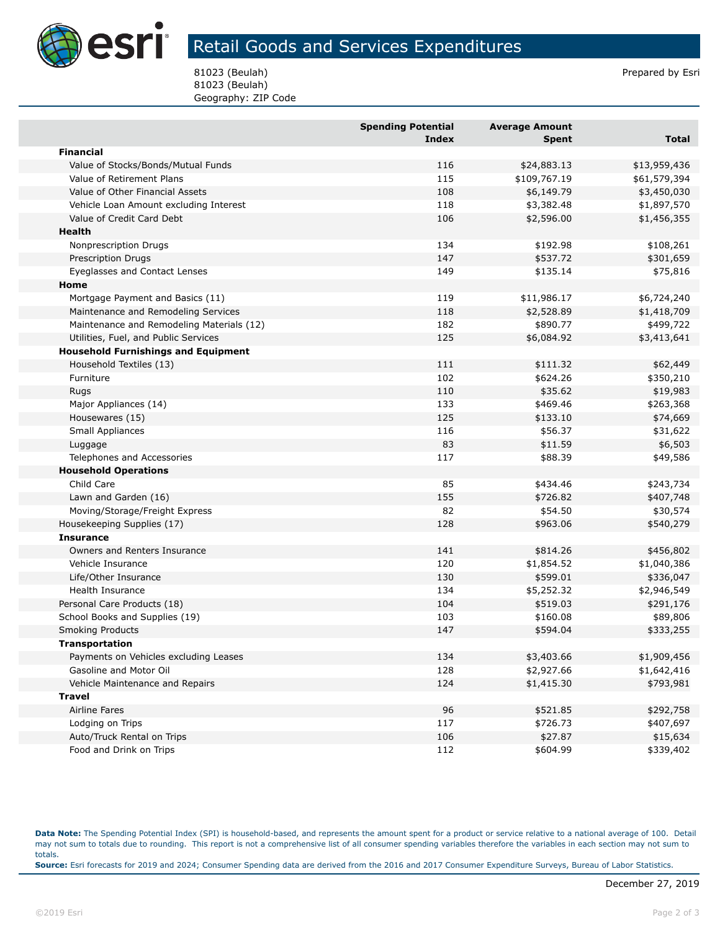

## Retail Goods and Services Expenditures

81023 (Beulah) Prepared by Esri 81023 (Beulah) Geography: ZIP Code

|                                            | <b>Spending Potential</b><br><b>Index</b> | <b>Average Amount</b><br><b>Spent</b> | <b>Total</b> |
|--------------------------------------------|-------------------------------------------|---------------------------------------|--------------|
| <b>Financial</b>                           |                                           |                                       |              |
| Value of Stocks/Bonds/Mutual Funds         | 116                                       | \$24,883.13                           | \$13,959,436 |
| Value of Retirement Plans                  | 115                                       | \$109,767.19                          | \$61,579,394 |
| Value of Other Financial Assets            | 108                                       | \$6,149.79                            | \$3,450,030  |
| Vehicle Loan Amount excluding Interest     | 118                                       | \$3,382.48                            | \$1,897,570  |
| Value of Credit Card Debt                  | 106                                       | \$2,596.00                            | \$1,456,355  |
| Health                                     |                                           |                                       |              |
| Nonprescription Drugs                      | 134                                       | \$192.98                              | \$108,261    |
| <b>Prescription Drugs</b>                  | 147                                       | \$537.72                              | \$301,659    |
| Eyeglasses and Contact Lenses              | 149                                       | \$135.14                              | \$75,816     |
| Home                                       |                                           |                                       |              |
| Mortgage Payment and Basics (11)           | 119                                       | \$11,986.17                           | \$6,724,240  |
| Maintenance and Remodeling Services        | 118                                       | \$2,528.89                            | \$1,418,709  |
| Maintenance and Remodeling Materials (12)  | 182                                       | \$890.77                              | \$499,722    |
| Utilities, Fuel, and Public Services       | 125                                       | \$6,084.92                            | \$3,413,641  |
| <b>Household Furnishings and Equipment</b> |                                           |                                       |              |
| Household Textiles (13)                    | 111                                       | \$111.32                              | \$62,449     |
| Furniture                                  | 102                                       | \$624.26                              | \$350,210    |
| Rugs                                       | 110                                       | \$35.62                               | \$19,983     |
| Major Appliances (14)                      | 133                                       | \$469.46                              | \$263,368    |
| Housewares (15)                            | 125                                       | \$133.10                              | \$74,669     |
| Small Appliances                           | 116                                       | \$56.37                               | \$31,622     |
| Luggage                                    | 83                                        | \$11.59                               | \$6,503      |
| Telephones and Accessories                 | 117                                       | \$88.39                               | \$49,586     |
| <b>Household Operations</b>                |                                           |                                       |              |
| Child Care                                 | 85                                        | \$434.46                              | \$243,734    |
| Lawn and Garden (16)                       | 155                                       | \$726.82                              | \$407,748    |
| Moving/Storage/Freight Express             | 82                                        | \$54.50                               | \$30,574     |
| Housekeeping Supplies (17)                 | 128                                       | \$963.06                              | \$540,279    |
| <b>Insurance</b>                           |                                           |                                       |              |
| Owners and Renters Insurance               | 141                                       | \$814.26                              | \$456,802    |
| Vehicle Insurance                          | 120                                       | \$1,854.52                            | \$1,040,386  |
| Life/Other Insurance                       | 130                                       | \$599.01                              | \$336,047    |
| <b>Health Insurance</b>                    | 134                                       | \$5,252.32                            | \$2,946,549  |
| Personal Care Products (18)                | 104                                       | \$519.03                              | \$291,176    |
| School Books and Supplies (19)             | 103                                       | \$160.08                              | \$89,806     |
| <b>Smoking Products</b>                    | 147                                       | \$594.04                              | \$333,255    |
| <b>Transportation</b>                      |                                           |                                       |              |
| Payments on Vehicles excluding Leases      | 134                                       | \$3,403.66                            | \$1,909,456  |
| Gasoline and Motor Oil                     | 128                                       | \$2,927.66                            | \$1,642,416  |
| Vehicle Maintenance and Repairs            | 124                                       | \$1,415.30                            | \$793,981    |
| <b>Travel</b>                              |                                           |                                       |              |
| Airline Fares                              | 96                                        | \$521.85                              | \$292,758    |
| Lodging on Trips                           | 117                                       | \$726.73                              | \$407,697    |
| Auto/Truck Rental on Trips                 | 106                                       | \$27.87                               | \$15,634     |
| Food and Drink on Trips                    | 112                                       | \$604.99                              | \$339,402    |

**Data Note:** The Spending Potential Index (SPI) is household-based, and represents the amount spent for a product or service relative to a national average of 100. Detail may not sum to totals due to rounding. This report is not a comprehensive list of all consumer spending variables therefore the variables in each section may not sum to totals. **Source:** Esri forecasts for 2019 and 2024; Consumer Spending data are derived from the 2016 and 2017 Consumer Expenditure Surveys, Bureau of Labor Statistics.